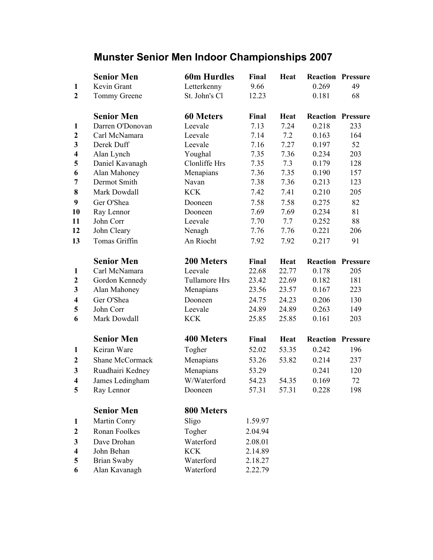## Munster Senior Men Indoor Championships 2007

|                         | <b>Senior Men</b>  | <b>60m Hurdles</b>   | Final   | <b>Heat</b> |       | <b>Reaction Pressure</b> |
|-------------------------|--------------------|----------------------|---------|-------------|-------|--------------------------|
| 1                       | Kevin Grant        | Letterkenny          | 9.66    |             | 0.269 | 49                       |
| $\overline{2}$          | Tommy Greene       | St. John's Cl        | 12.23   |             | 0.181 | 68                       |
|                         | <b>Senior Men</b>  | <b>60 Meters</b>     | Final   | <b>Heat</b> |       | <b>Reaction Pressure</b> |
| $\mathbf{1}$            | Darren O'Donovan   | Leevale              | 7.13    | 7.24        | 0.218 | 233                      |
| $\mathbf{2}$            | Carl McNamara      | Leevale              | 7.14    | 7.2         | 0.163 | 164                      |
| $\overline{\mathbf{3}}$ | Derek Duff         | Leevale              | 7.16    | 7.27        | 0.197 | 52                       |
| $\overline{\mathbf{4}}$ | Alan Lynch         | Youghal              | 7.35    | 7.36        | 0.234 | 203                      |
| 5                       | Daniel Kavanagh    | Clonliffe Hrs        | 7.35    | 7.3         | 0.179 | 128                      |
| 6                       | Alan Mahoney       | Menapians            | 7.36    | 7.35        | 0.190 | 157                      |
| 7                       | Dermot Smith       | Navan                | 7.38    | 7.36        | 0.213 | 123                      |
| 8                       | Mark Dowdall       | <b>KCK</b>           | 7.42    | 7.41        | 0.210 | 205                      |
| $\boldsymbol{9}$        | Ger O'Shea         | Dooneen              | 7.58    | 7.58        | 0.275 | 82                       |
| 10                      | Ray Lennor         | Dooneen              | 7.69    | 7.69        | 0.234 | 81                       |
| 11                      | John Corr          | Leevale              | 7.70    | 7.7         | 0.252 | 88                       |
| 12                      | John Cleary        | Nenagh               | 7.76    | 7.76        | 0.221 | 206                      |
| 13                      | Tomas Griffin      | An Riocht            | 7.92    | 7.92        | 0.217 | 91                       |
|                         | <b>Senior Men</b>  | 200 Meters           | Final   | <b>Heat</b> |       | <b>Reaction Pressure</b> |
| $\mathbf{1}$            | Carl McNamara      | Leevale              | 22.68   | 22.77       | 0.178 | 205                      |
| $\boldsymbol{2}$        | Gordon Kennedy     | <b>Tullamore Hrs</b> | 23.42   | 22.69       | 0.182 | 181                      |
| 3                       | Alan Mahoney       | Menapians            | 23.56   | 23.57       | 0.167 | 223                      |
| $\overline{\mathbf{4}}$ | Ger O'Shea         | Dooneen              | 24.75   | 24.23       | 0.206 | 130                      |
| 5                       | John Corr          | Leevale              | 24.89   | 24.89       | 0.263 | 149                      |
| 6                       | Mark Dowdall       | <b>KCK</b>           | 25.85   | 25.85       | 0.161 | 203                      |
|                         | <b>Senior Men</b>  | 400 Meters           | Final   | <b>Heat</b> |       | <b>Reaction Pressure</b> |
| 1                       | Keiran Ware        | Togher               | 52.02   | 53.35       | 0.242 | 196                      |
| $\mathbf{2}$            | Shane McCormack    | Menapians            | 53.26   | 53.82       | 0.214 | 237                      |
| $\mathbf{3}$            | Ruadhairi Kedney   | Menapians            | 53.29   |             | 0.241 | 120                      |
| $\overline{\mathbf{4}}$ | James Ledingham    | W/Waterford          | 54.23   | 54.35       | 0.169 | 72                       |
| 5                       | Ray Lennor         | Dooneen              | 57.31   | 57.31       | 0.228 | 198                      |
|                         | <b>Senior Men</b>  | 800 Meters           |         |             |       |                          |
| 1                       | Martin Conry       | Sligo                | 1.59.97 |             |       |                          |
| $\boldsymbol{2}$        | Ronan Foolkes      | Togher               | 2.04.94 |             |       |                          |
| 3                       | Dave Drohan        | Waterford            | 2.08.01 |             |       |                          |
| $\overline{\mathbf{4}}$ | John Behan         | <b>KCK</b>           | 2.14.89 |             |       |                          |
| 5                       | <b>Brian Swaby</b> | Waterford            | 2.18.27 |             |       |                          |
| 6                       | Alan Kavanagh      | Waterford            | 2.22.79 |             |       |                          |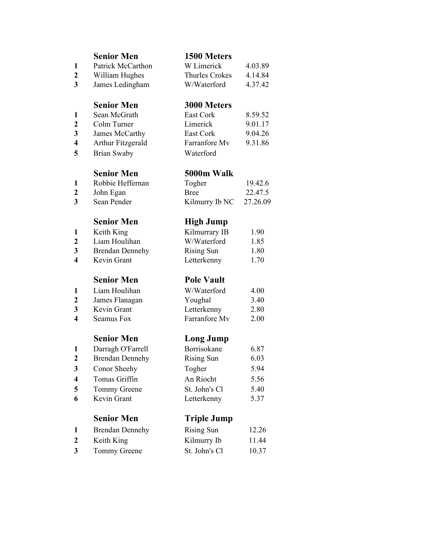|                         | <b>Senior Men</b>        | 1500 Meters           |          |
|-------------------------|--------------------------|-----------------------|----------|
| 1                       | <b>Patrick McCarthon</b> | W Limerick            | 4.03.89  |
| $\mathbf{2}$            | William Hughes           | <b>Thurles Crokes</b> | 4.14.84  |
| $\overline{\mathbf{3}}$ | James Ledingham          | W/Waterford           | 4.37.42  |
|                         | <b>Senior Men</b>        | 3000 Meters           |          |
| 1                       | Sean McGrath             | East Cork             | 8.59.52  |
| $\mathbf{2}$            | Colm Turner              | Limerick              | 9.01.17  |
| 3                       | James McCarthy           | East Cork             | 9.04.26  |
| 4                       | <b>Arthur Fitzgerald</b> | Farranfore Mv         | 9.31.86  |
| 5                       | <b>Brian Swaby</b>       | Waterford             |          |
|                         | <b>Senior Men</b>        | 5000m Walk            |          |
| 1                       | Robbie Heffernan         | Togher                | 19.42.6  |
| $\boldsymbol{2}$        | John Egan                | <b>Bree</b>           | 22.47.5  |
| 3                       | Sean Pender              | Kilmurry Ib NC        | 27.26.09 |
|                         | <b>Senior Men</b>        | <b>High Jump</b>      |          |
| 1                       | Keith King               | Kilmurrary IB         | 1.90     |
| $\boldsymbol{2}$        | Liam Houlihan            | W/Waterford           | 1.85     |
| 3                       | <b>Brendan Dennehy</b>   | <b>Rising Sun</b>     | 1.80     |
| $\overline{\mathbf{4}}$ | Kevin Grant              | Letterkenny           | 1.70     |
|                         | <b>Senior Men</b>        | <b>Pole Vault</b>     |          |
| 1                       | Liam Houlihan            | W/Waterford           | 4.00     |
| $\boldsymbol{2}$        | James Flanagan           | Youghal               | 3.40     |
| 3                       | Kevin Grant              | Letterkenny           | 2.80     |
| 4                       | Seamus Fox               | Farranfore Mv         | 2.00     |
|                         | <b>Senior Men</b>        | <b>Long Jump</b>      |          |
| 1                       | Darragh O'Farrell        | Borrisokane           | 6.87     |
| $\mathbf{2}$            | <b>Brendan Dennehy</b>   | <b>Rising Sun</b>     | 6.03     |
| 3                       | Conor Sheehy             | Togher                | 5.94     |
| 4                       | Tomas Griffin            | An Riocht             | 5.56     |
| 5                       | Tommy Greene             | St. John's Cl         | 5.40     |
| 6                       | Kevin Grant              | Letterkenny           | 5.37     |
|                         | <b>Senior Men</b>        | <b>Triple Jump</b>    |          |
| 1                       | <b>Brendan Dennehy</b>   | <b>Rising Sun</b>     | 12.26    |
| 2                       | Keith King               | Kilmurry Ib           | 11.44    |
| 3                       | Tommy Greene             | St. John's Cl         | 10.37    |